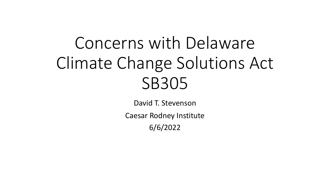# Concerns with Delaware Climate Change Solutions Act SB305

David T. Stevenson

Caesar Rodney Institute

6/6/2022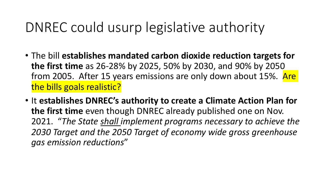# DNREC could usurp legislative authority

- The bill **establishes mandated carbon dioxide reduction targets for the first time** as 26-28% by 2025, 50% by 2030, and 90% by 2050 from 2005. After 15 years emissions are only down about 15%. Are the bills goals realistic?
- It **establishes DNREC's authority to create a Climate Action Plan for the first time** even though DNREC already published one on Nov. 2021. "*The State shall implement programs necessary to achieve the 2030 Target and the 2050 Target of economy wide gross greenhouse gas emission reductions*"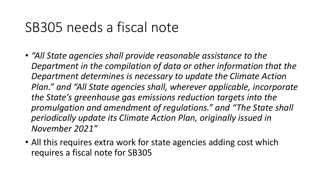### SB305 needs a fiscal note

- *"All State agencies shall provide reasonable assistance to the Department in the compilation of data or other information that the Department determines is necessary to update the Climate Action Plan." and "All State agencies shall, wherever applicable, incorporate the State's greenhouse gas emissions reduction targets into the promulgation and amendment of regulations." and "The State shall periodically update its Climate Action Plan, originally issued in November 2021"*
- All this requires extra work for state agencies adding cost which requires a fiscal note for SB305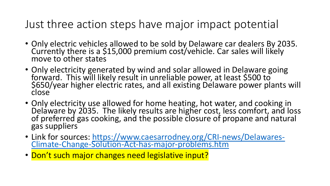#### Just three action steps have major im

- Only electric vehicles allowed to be sold by Delaw Currently there is a \$15,000 premium cost/vehicle move to other states
- Only electricity generated by wind and solar allow forward. This will likely result in unreliable power \$650/year higher electric rates, and all existing De close
- Only electricity use allowed for home heating, hot Delaware by 2035. The likely results are higher co of preferred gas cooking, and the possible closure gas suppliers
- Link for sources: https://www.caesarrodney.org/C<br>Climate-Change-Solution-Act-has-major-problems.
- Don't such major changes need legislative input?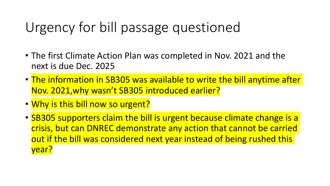# Urgency for bill passage questioned

- The first Climate Action Plan was completed in Nov. 2021 and the next is due Dec. 2025
- The information in SB305 was available to write the bill anytime after Nov. 2021,why wasn't SB305 introduced earlier?
- Why is this bill now so urgent?
- SB305 supporters claim the bill is urgent because climate change is a crisis, but can DNREC demonstrate any action that cannot be carried out if the bill was considered next year instead of being rushed this year?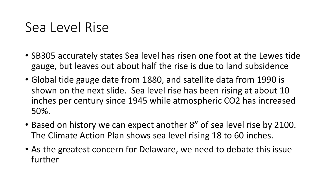### Sea Level Rise

- SB305 accurately states Sea level has risen one foot at the Lewes tide gauge, but leaves out about half the rise is due to land subsidence
- Global tide gauge date from 1880, and satellite data from 1990 is shown on the next slide. Sea level rise has been rising at about 10 inches per century since 1945 while atmospheric CO2 has increased 50%.
- Based on history we can expect another 8" of sea level rise by 2100. The Climate Action Plan shows sea level rising 18 to 60 inches.
- As the greatest concern for Delaware, we need to debate this issue further